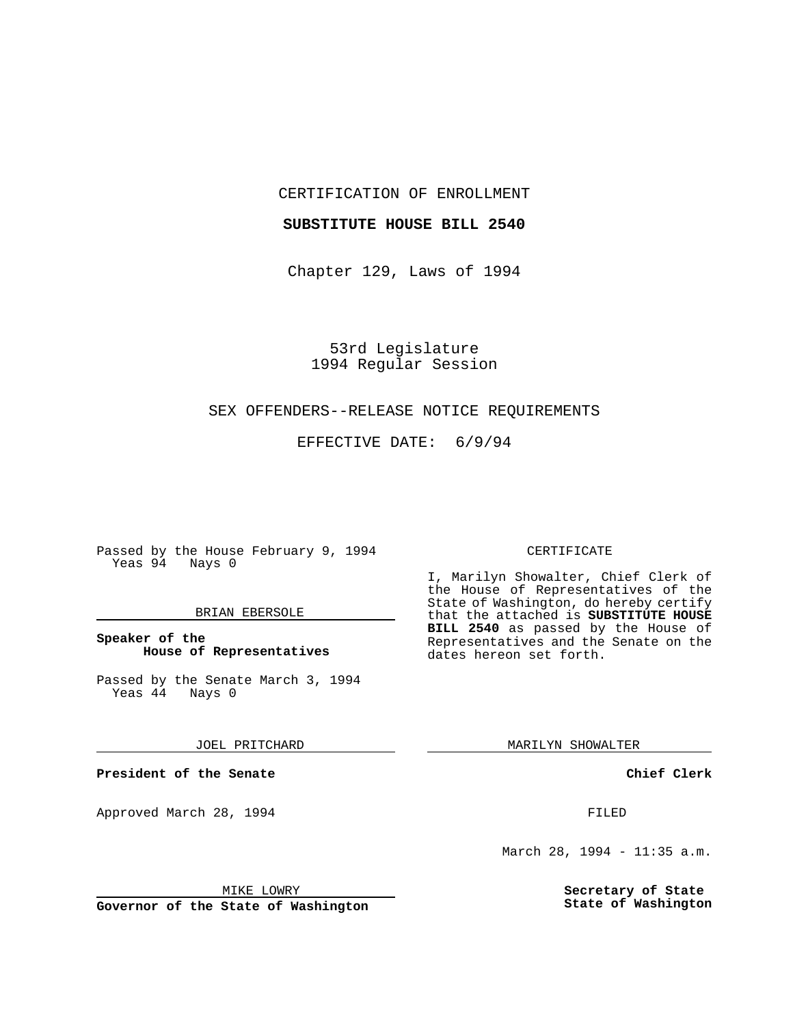CERTIFICATION OF ENROLLMENT

### **SUBSTITUTE HOUSE BILL 2540**

Chapter 129, Laws of 1994

53rd Legislature 1994 Regular Session

#### SEX OFFENDERS--RELEASE NOTICE REQUIREMENTS

EFFECTIVE DATE: 6/9/94

Passed by the House February 9, 1994 Yeas 94 Nays 0

### BRIAN EBERSOLE

# **Speaker of the House of Representatives**

Passed by the Senate March 3, 1994<br>Yeas 44 Nays 0  $Yeas$  44

JOEL PRITCHARD

**President of the Senate**

Approved March 28, 1994 **FILED** 

# CERTIFICATE

I, Marilyn Showalter, Chief Clerk of the House of Representatives of the State of Washington, do hereby certify that the attached is **SUBSTITUTE HOUSE BILL 2540** as passed by the House of Representatives and the Senate on the dates hereon set forth.

MARILYN SHOWALTER

**Chief Clerk**

March 28, 1994 - 11:35 a.m.

**Secretary of State State of Washington**

MIKE LOWRY

**Governor of the State of Washington**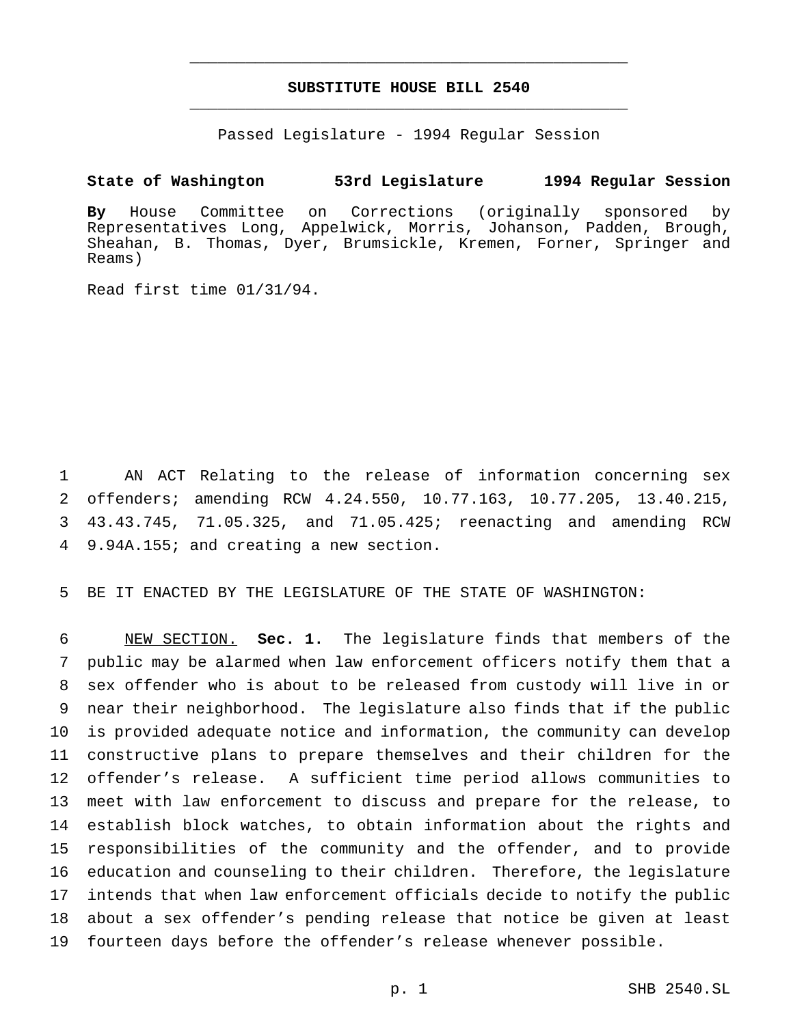# **SUBSTITUTE HOUSE BILL 2540** \_\_\_\_\_\_\_\_\_\_\_\_\_\_\_\_\_\_\_\_\_\_\_\_\_\_\_\_\_\_\_\_\_\_\_\_\_\_\_\_\_\_\_\_\_\_\_

\_\_\_\_\_\_\_\_\_\_\_\_\_\_\_\_\_\_\_\_\_\_\_\_\_\_\_\_\_\_\_\_\_\_\_\_\_\_\_\_\_\_\_\_\_\_\_

Passed Legislature - 1994 Regular Session

## **State of Washington 53rd Legislature 1994 Regular Session**

**By** House Committee on Corrections (originally sponsored by Representatives Long, Appelwick, Morris, Johanson, Padden, Brough, Sheahan, B. Thomas, Dyer, Brumsickle, Kremen, Forner, Springer and Reams)

Read first time 01/31/94.

 AN ACT Relating to the release of information concerning sex offenders; amending RCW 4.24.550, 10.77.163, 10.77.205, 13.40.215, 43.43.745, 71.05.325, and 71.05.425; reenacting and amending RCW 9.94A.155; and creating a new section.

BE IT ENACTED BY THE LEGISLATURE OF THE STATE OF WASHINGTON:

 NEW SECTION. **Sec. 1.** The legislature finds that members of the public may be alarmed when law enforcement officers notify them that a sex offender who is about to be released from custody will live in or near their neighborhood. The legislature also finds that if the public is provided adequate notice and information, the community can develop constructive plans to prepare themselves and their children for the offender's release. A sufficient time period allows communities to meet with law enforcement to discuss and prepare for the release, to establish block watches, to obtain information about the rights and responsibilities of the community and the offender, and to provide education and counseling to their children. Therefore, the legislature intends that when law enforcement officials decide to notify the public about a sex offender's pending release that notice be given at least fourteen days before the offender's release whenever possible.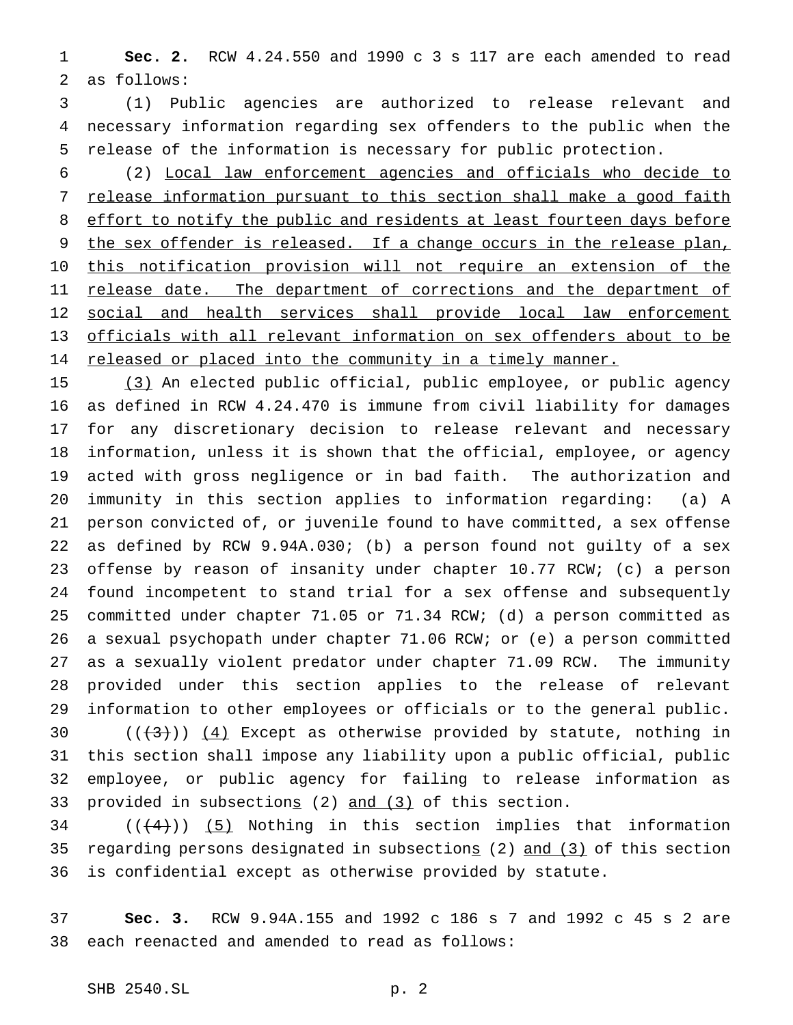**Sec. 2.** RCW 4.24.550 and 1990 c 3 s 117 are each amended to read as follows:

 (1) Public agencies are authorized to release relevant and necessary information regarding sex offenders to the public when the release of the information is necessary for public protection.

 (2) Local law enforcement agencies and officials who decide to 7 release information pursuant to this section shall make a good faith 8 effort to notify the public and residents at least fourteen days before 9 the sex offender is released. If a change occurs in the release plan, this notification provision will not require an extension of the 11 release date. The department of corrections and the department of 12 social and health services shall provide local law enforcement officials with all relevant information on sex offenders about to be 14 released or placed into the community in a timely manner.

 (3) An elected public official, public employee, or public agency as defined in RCW 4.24.470 is immune from civil liability for damages for any discretionary decision to release relevant and necessary information, unless it is shown that the official, employee, or agency acted with gross negligence or in bad faith. The authorization and immunity in this section applies to information regarding: (a) A person convicted of, or juvenile found to have committed, a sex offense as defined by RCW 9.94A.030; (b) a person found not guilty of a sex offense by reason of insanity under chapter 10.77 RCW; (c) a person found incompetent to stand trial for a sex offense and subsequently committed under chapter 71.05 or 71.34 RCW; (d) a person committed as a sexual psychopath under chapter 71.06 RCW; or (e) a person committed as a sexually violent predator under chapter 71.09 RCW. The immunity provided under this section applies to the release of relevant information to other employees or officials or to the general public.  $((+3))$   $(4)$  Except as otherwise provided by statute, nothing in

 this section shall impose any liability upon a public official, public employee, or public agency for failing to release information as 33 provided in subsections (2) and (3) of this section.

 (( $(4)$ )) (5) Nothing in this section implies that information regarding persons designated in subsections (2) and (3) of this section is confidential except as otherwise provided by statute.

 **Sec. 3.** RCW 9.94A.155 and 1992 c 186 s 7 and 1992 c 45 s 2 are each reenacted and amended to read as follows: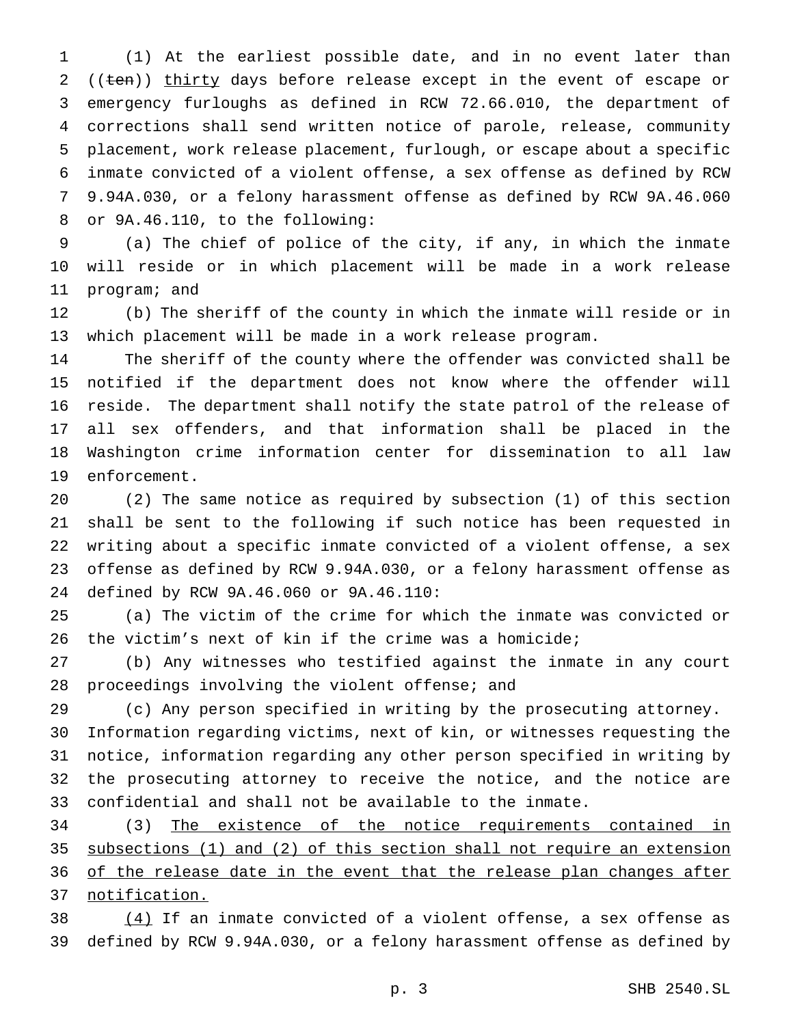(1) At the earliest possible date, and in no event later than 2 ((ten)) thirty days before release except in the event of escape or emergency furloughs as defined in RCW 72.66.010, the department of corrections shall send written notice of parole, release, community placement, work release placement, furlough, or escape about a specific inmate convicted of a violent offense, a sex offense as defined by RCW 9.94A.030, or a felony harassment offense as defined by RCW 9A.46.060 or 9A.46.110, to the following:

 (a) The chief of police of the city, if any, in which the inmate will reside or in which placement will be made in a work release program; and

 (b) The sheriff of the county in which the inmate will reside or in which placement will be made in a work release program.

 The sheriff of the county where the offender was convicted shall be notified if the department does not know where the offender will reside. The department shall notify the state patrol of the release of all sex offenders, and that information shall be placed in the Washington crime information center for dissemination to all law enforcement.

 (2) The same notice as required by subsection (1) of this section shall be sent to the following if such notice has been requested in writing about a specific inmate convicted of a violent offense, a sex offense as defined by RCW 9.94A.030, or a felony harassment offense as defined by RCW 9A.46.060 or 9A.46.110:

 (a) The victim of the crime for which the inmate was convicted or the victim's next of kin if the crime was a homicide;

 (b) Any witnesses who testified against the inmate in any court proceedings involving the violent offense; and

(c) Any person specified in writing by the prosecuting attorney.

 Information regarding victims, next of kin, or witnesses requesting the notice, information regarding any other person specified in writing by the prosecuting attorney to receive the notice, and the notice are confidential and shall not be available to the inmate.

 (3) The existence of the notice requirements contained in subsections (1) and (2) of this section shall not require an extension 36 of the release date in the event that the release plan changes after notification.

38  $(4)$  If an inmate convicted of a violent offense, a sex offense as defined by RCW 9.94A.030, or a felony harassment offense as defined by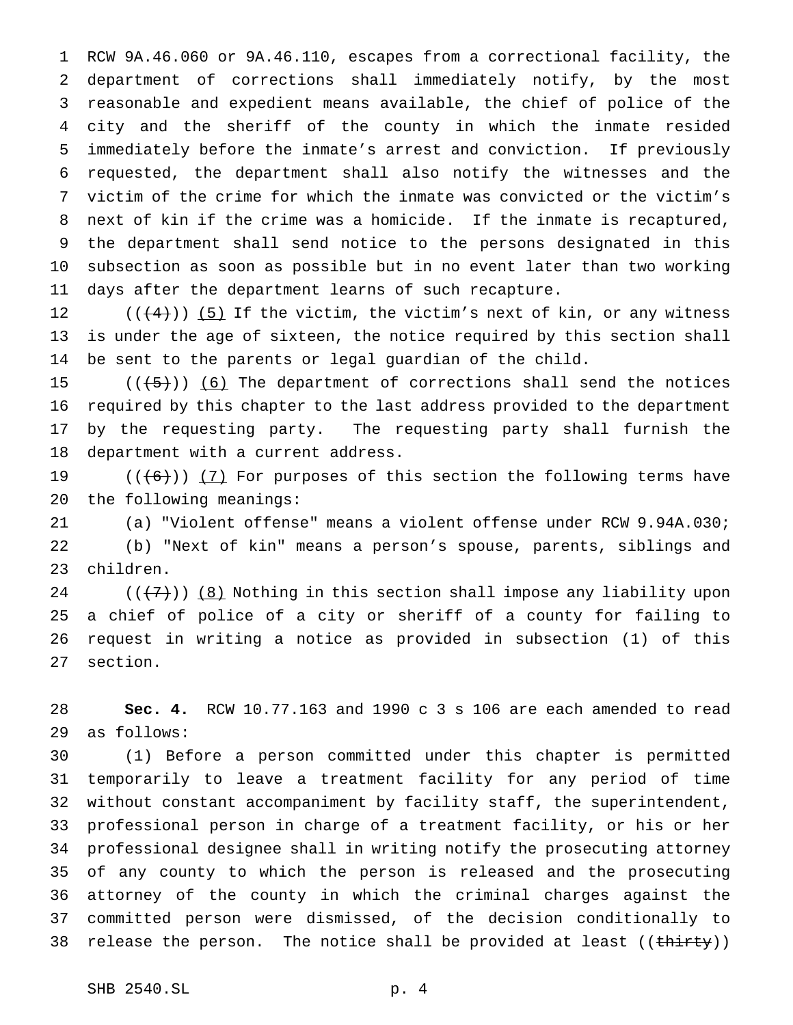RCW 9A.46.060 or 9A.46.110, escapes from a correctional facility, the department of corrections shall immediately notify, by the most reasonable and expedient means available, the chief of police of the city and the sheriff of the county in which the inmate resided immediately before the inmate's arrest and conviction. If previously requested, the department shall also notify the witnesses and the victim of the crime for which the inmate was convicted or the victim's next of kin if the crime was a homicide. If the inmate is recaptured, the department shall send notice to the persons designated in this subsection as soon as possible but in no event later than two working days after the department learns of such recapture.

12  $((+4))$  (5) If the victim, the victim's next of kin, or any witness is under the age of sixteen, the notice required by this section shall be sent to the parents or legal guardian of the child.

 $((+5))$   $(6)$  The department of corrections shall send the notices required by this chapter to the last address provided to the department by the requesting party. The requesting party shall furnish the department with a current address.

19  $((+6))$   $(7)$  For purposes of this section the following terms have the following meanings:

 (a) "Violent offense" means a violent offense under RCW 9.94A.030; (b) "Next of kin" means a person's spouse, parents, siblings and children.

 $((+7))$   $(8)$  Nothing in this section shall impose any liability upon a chief of police of a city or sheriff of a county for failing to request in writing a notice as provided in subsection (1) of this section.

 **Sec. 4.** RCW 10.77.163 and 1990 c 3 s 106 are each amended to read as follows:

 (1) Before a person committed under this chapter is permitted temporarily to leave a treatment facility for any period of time without constant accompaniment by facility staff, the superintendent, professional person in charge of a treatment facility, or his or her professional designee shall in writing notify the prosecuting attorney of any county to which the person is released and the prosecuting attorney of the county in which the criminal charges against the committed person were dismissed, of the decision conditionally to 38 release the person. The notice shall be provided at least  $((*thirty*))$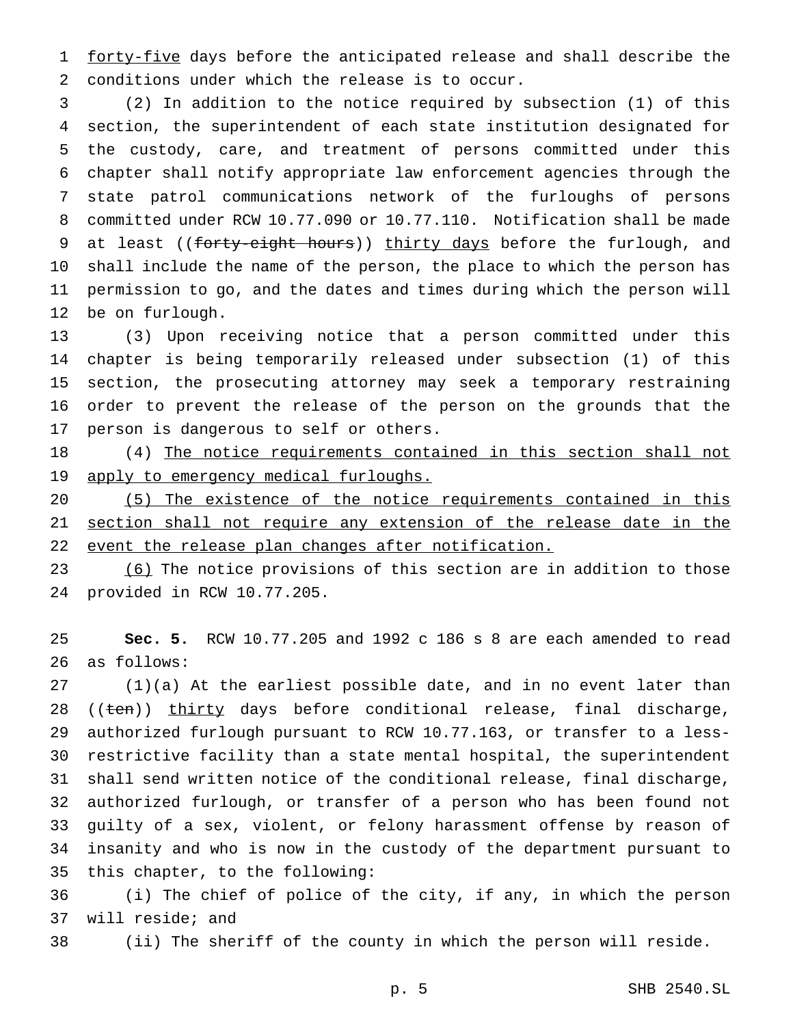1 forty-five days before the anticipated release and shall describe the conditions under which the release is to occur.

 (2) In addition to the notice required by subsection (1) of this section, the superintendent of each state institution designated for the custody, care, and treatment of persons committed under this chapter shall notify appropriate law enforcement agencies through the state patrol communications network of the furloughs of persons committed under RCW 10.77.090 or 10.77.110. Notification shall be made 9 at least ((forty-eight hours)) thirty days before the furlough, and shall include the name of the person, the place to which the person has permission to go, and the dates and times during which the person will be on furlough.

 (3) Upon receiving notice that a person committed under this chapter is being temporarily released under subsection (1) of this section, the prosecuting attorney may seek a temporary restraining order to prevent the release of the person on the grounds that the person is dangerous to self or others.

 (4) The notice requirements contained in this section shall not 19 apply to emergency medical furloughs.

 (5) The existence of the notice requirements contained in this 21 section shall not require any extension of the release date in the 22 event the release plan changes after notification.

23 (6) The notice provisions of this section are in addition to those provided in RCW 10.77.205.

 **Sec. 5.** RCW 10.77.205 and 1992 c 186 s 8 are each amended to read as follows:

 (1)(a) At the earliest possible date, and in no event later than 28 ((ten)) thirty days before conditional release, final discharge, authorized furlough pursuant to RCW 10.77.163, or transfer to a less- restrictive facility than a state mental hospital, the superintendent shall send written notice of the conditional release, final discharge, authorized furlough, or transfer of a person who has been found not guilty of a sex, violent, or felony harassment offense by reason of insanity and who is now in the custody of the department pursuant to this chapter, to the following:

 (i) The chief of police of the city, if any, in which the person will reside; and

(ii) The sheriff of the county in which the person will reside.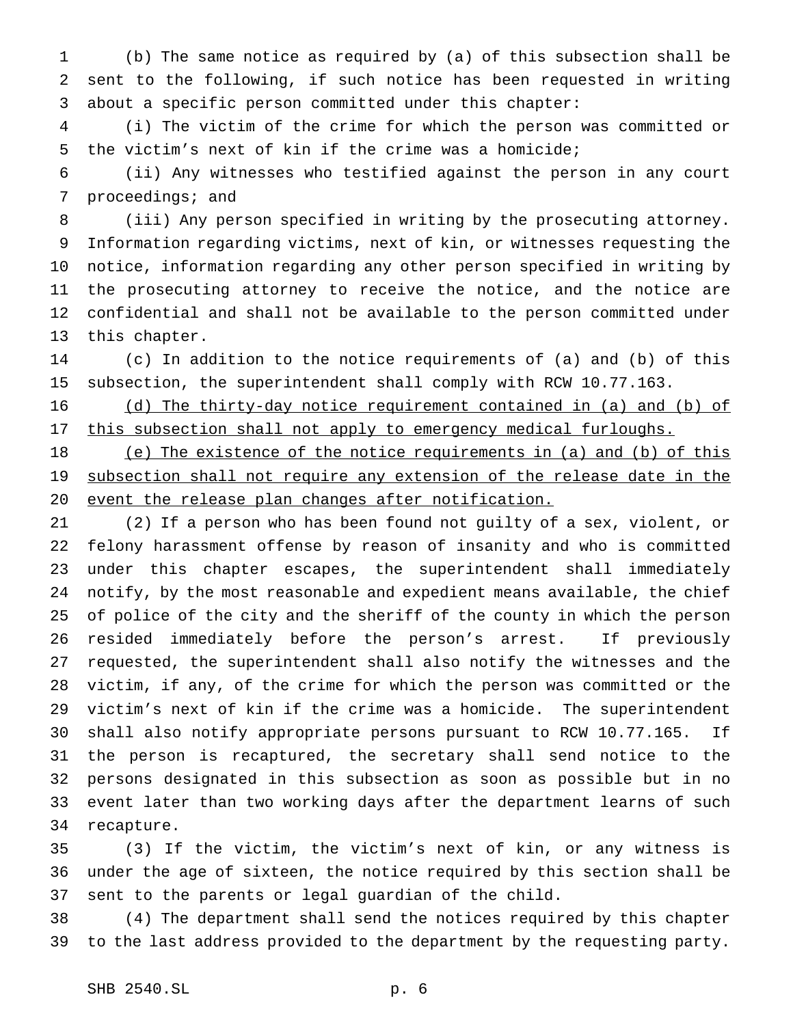(b) The same notice as required by (a) of this subsection shall be sent to the following, if such notice has been requested in writing about a specific person committed under this chapter:

 (i) The victim of the crime for which the person was committed or the victim's next of kin if the crime was a homicide;

 (ii) Any witnesses who testified against the person in any court proceedings; and

 (iii) Any person specified in writing by the prosecuting attorney. Information regarding victims, next of kin, or witnesses requesting the notice, information regarding any other person specified in writing by the prosecuting attorney to receive the notice, and the notice are confidential and shall not be available to the person committed under this chapter.

 (c) In addition to the notice requirements of (a) and (b) of this subsection, the superintendent shall comply with RCW 10.77.163.

 (d) The thirty-day notice requirement contained in (a) and (b) of 17 this subsection shall not apply to emergency medical furloughs.

 (e) The existence of the notice requirements in (a) and (b) of this 19 subsection shall not require any extension of the release date in the event the release plan changes after notification.

 (2) If a person who has been found not guilty of a sex, violent, or felony harassment offense by reason of insanity and who is committed under this chapter escapes, the superintendent shall immediately notify, by the most reasonable and expedient means available, the chief of police of the city and the sheriff of the county in which the person resided immediately before the person's arrest. If previously requested, the superintendent shall also notify the witnesses and the victim, if any, of the crime for which the person was committed or the victim's next of kin if the crime was a homicide. The superintendent shall also notify appropriate persons pursuant to RCW 10.77.165. If the person is recaptured, the secretary shall send notice to the persons designated in this subsection as soon as possible but in no event later than two working days after the department learns of such recapture.

 (3) If the victim, the victim's next of kin, or any witness is under the age of sixteen, the notice required by this section shall be sent to the parents or legal guardian of the child.

 (4) The department shall send the notices required by this chapter to the last address provided to the department by the requesting party.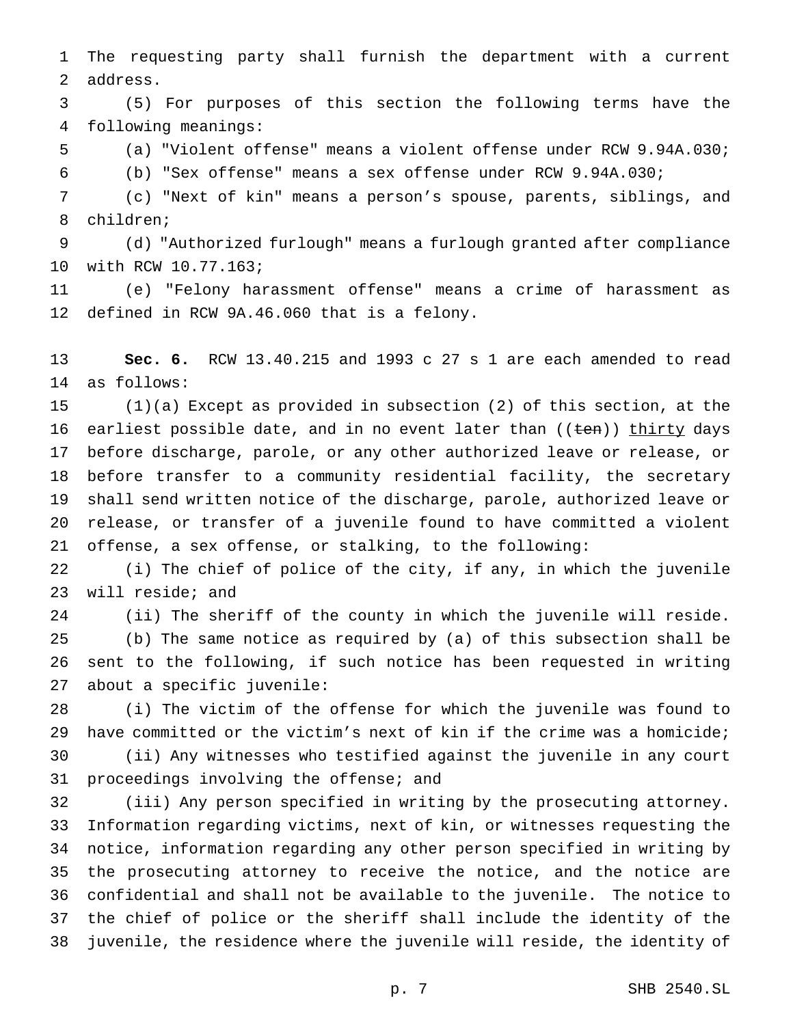The requesting party shall furnish the department with a current address.

 (5) For purposes of this section the following terms have the following meanings:

(a) "Violent offense" means a violent offense under RCW 9.94A.030;

(b) "Sex offense" means a sex offense under RCW 9.94A.030;

 (c) "Next of kin" means a person's spouse, parents, siblings, and children;

 (d) "Authorized furlough" means a furlough granted after compliance with RCW 10.77.163;

 (e) "Felony harassment offense" means a crime of harassment as defined in RCW 9A.46.060 that is a felony.

 **Sec. 6.** RCW 13.40.215 and 1993 c 27 s 1 are each amended to read as follows:

 (1)(a) Except as provided in subsection (2) of this section, at the 16 earliest possible date, and in no event later than ((ten)) thirty days before discharge, parole, or any other authorized leave or release, or before transfer to a community residential facility, the secretary shall send written notice of the discharge, parole, authorized leave or release, or transfer of a juvenile found to have committed a violent offense, a sex offense, or stalking, to the following:

 (i) The chief of police of the city, if any, in which the juvenile will reside; and

 (ii) The sheriff of the county in which the juvenile will reside. (b) The same notice as required by (a) of this subsection shall be sent to the following, if such notice has been requested in writing about a specific juvenile:

 (i) The victim of the offense for which the juvenile was found to have committed or the victim's next of kin if the crime was a homicide; (ii) Any witnesses who testified against the juvenile in any court 31 proceedings involving the offense; and

 (iii) Any person specified in writing by the prosecuting attorney. Information regarding victims, next of kin, or witnesses requesting the notice, information regarding any other person specified in writing by the prosecuting attorney to receive the notice, and the notice are confidential and shall not be available to the juvenile. The notice to the chief of police or the sheriff shall include the identity of the juvenile, the residence where the juvenile will reside, the identity of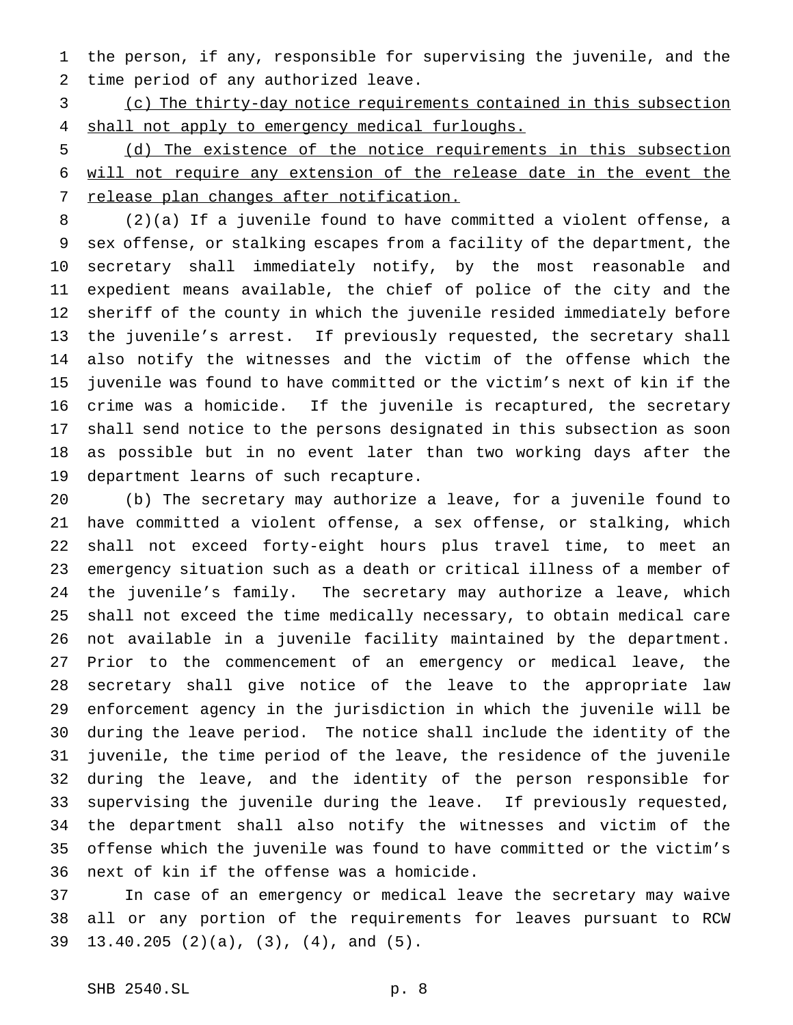the person, if any, responsible for supervising the juvenile, and the time period of any authorized leave.

 (c) The thirty-day notice requirements contained in this subsection 4 shall not apply to emergency medical furloughs.

 (d) The existence of the notice requirements in this subsection will not require any extension of the release date in the event the 7 release plan changes after notification.

 (2)(a) If a juvenile found to have committed a violent offense, a sex offense, or stalking escapes from a facility of the department, the secretary shall immediately notify, by the most reasonable and expedient means available, the chief of police of the city and the sheriff of the county in which the juvenile resided immediately before the juvenile's arrest. If previously requested, the secretary shall also notify the witnesses and the victim of the offense which the juvenile was found to have committed or the victim's next of kin if the crime was a homicide. If the juvenile is recaptured, the secretary shall send notice to the persons designated in this subsection as soon as possible but in no event later than two working days after the department learns of such recapture.

 (b) The secretary may authorize a leave, for a juvenile found to have committed a violent offense, a sex offense, or stalking, which shall not exceed forty-eight hours plus travel time, to meet an emergency situation such as a death or critical illness of a member of the juvenile's family. The secretary may authorize a leave, which shall not exceed the time medically necessary, to obtain medical care not available in a juvenile facility maintained by the department. Prior to the commencement of an emergency or medical leave, the secretary shall give notice of the leave to the appropriate law enforcement agency in the jurisdiction in which the juvenile will be during the leave period. The notice shall include the identity of the juvenile, the time period of the leave, the residence of the juvenile during the leave, and the identity of the person responsible for supervising the juvenile during the leave. If previously requested, the department shall also notify the witnesses and victim of the offense which the juvenile was found to have committed or the victim's next of kin if the offense was a homicide.

 In case of an emergency or medical leave the secretary may waive all or any portion of the requirements for leaves pursuant to RCW 13.40.205 (2)(a), (3), (4), and (5).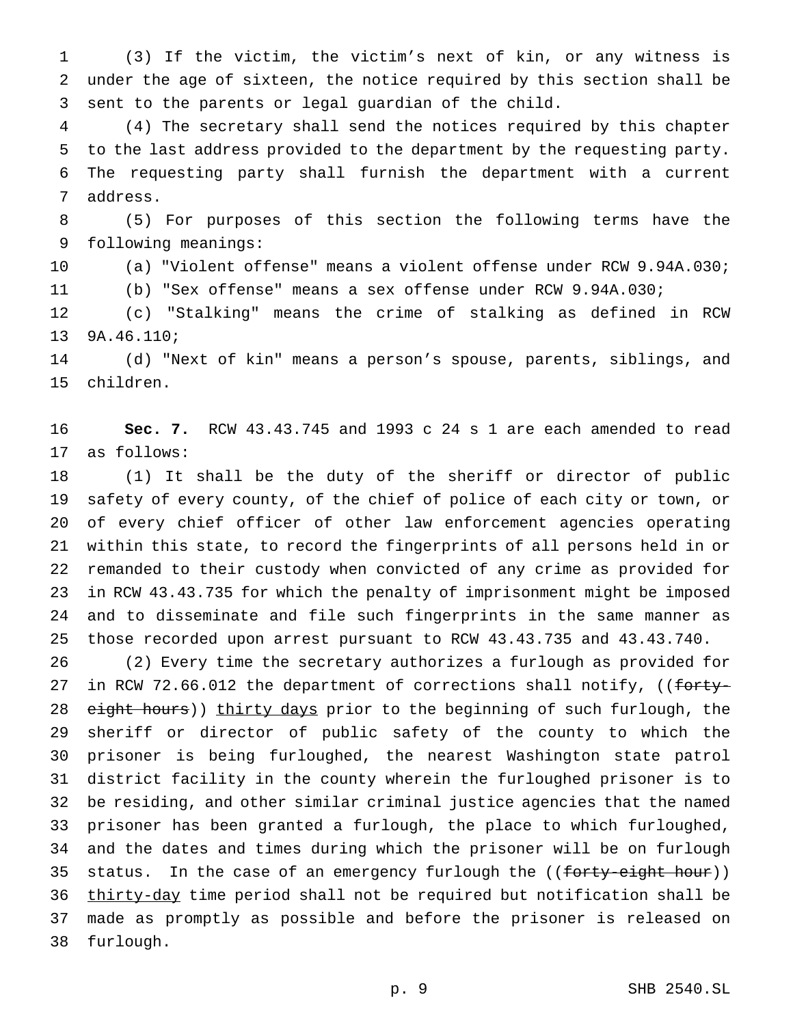(3) If the victim, the victim's next of kin, or any witness is under the age of sixteen, the notice required by this section shall be sent to the parents or legal guardian of the child.

 (4) The secretary shall send the notices required by this chapter to the last address provided to the department by the requesting party. The requesting party shall furnish the department with a current address.

 (5) For purposes of this section the following terms have the following meanings:

 (a) "Violent offense" means a violent offense under RCW 9.94A.030; (b) "Sex offense" means a sex offense under RCW 9.94A.030;

 (c) "Stalking" means the crime of stalking as defined in RCW 9A.46.110;

 (d) "Next of kin" means a person's spouse, parents, siblings, and children.

 **Sec. 7.** RCW 43.43.745 and 1993 c 24 s 1 are each amended to read as follows:

 (1) It shall be the duty of the sheriff or director of public safety of every county, of the chief of police of each city or town, or of every chief officer of other law enforcement agencies operating within this state, to record the fingerprints of all persons held in or remanded to their custody when convicted of any crime as provided for in RCW 43.43.735 for which the penalty of imprisonment might be imposed and to disseminate and file such fingerprints in the same manner as those recorded upon arrest pursuant to RCW 43.43.735 and 43.43.740.

 (2) Every time the secretary authorizes a furlough as provided for 27 in RCW 72.66.012 the department of corrections shall notify, ((forty-28 eight hours)) thirty days prior to the beginning of such furlough, the sheriff or director of public safety of the county to which the prisoner is being furloughed, the nearest Washington state patrol district facility in the county wherein the furloughed prisoner is to be residing, and other similar criminal justice agencies that the named prisoner has been granted a furlough, the place to which furloughed, and the dates and times during which the prisoner will be on furlough 35 status. In the case of an emergency furlough the ((forty-eight hour)) 36 thirty-day time period shall not be required but notification shall be made as promptly as possible and before the prisoner is released on furlough.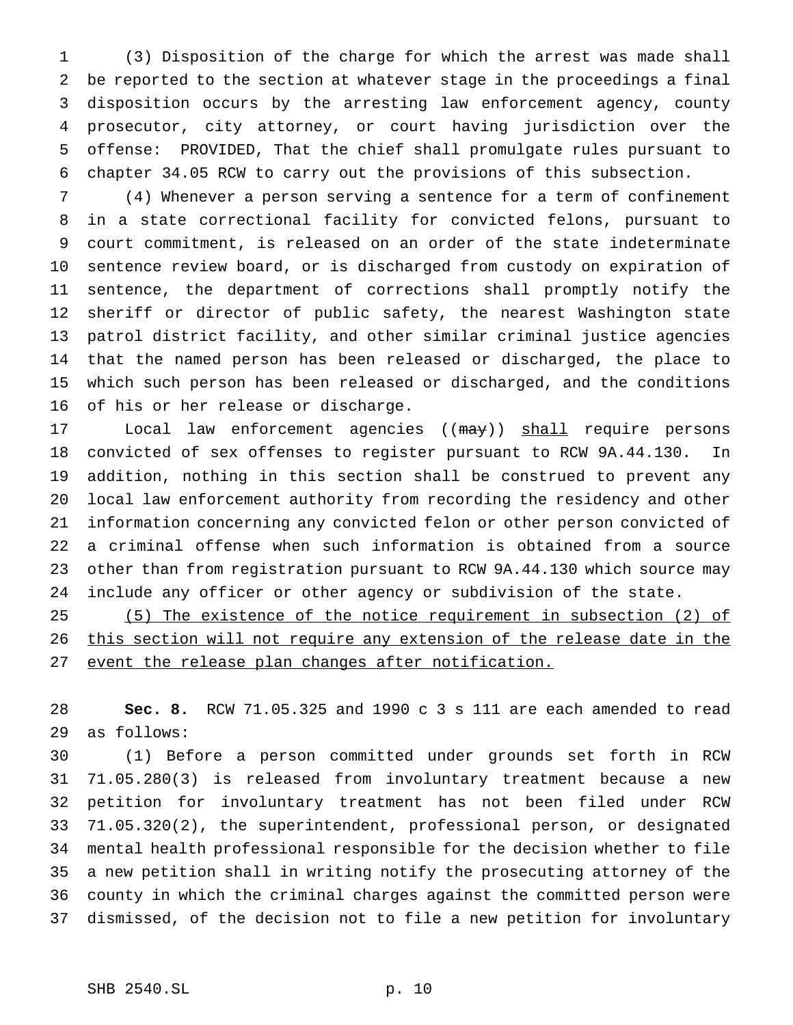(3) Disposition of the charge for which the arrest was made shall be reported to the section at whatever stage in the proceedings a final disposition occurs by the arresting law enforcement agency, county prosecutor, city attorney, or court having jurisdiction over the offense: PROVIDED, That the chief shall promulgate rules pursuant to chapter 34.05 RCW to carry out the provisions of this subsection.

 (4) Whenever a person serving a sentence for a term of confinement in a state correctional facility for convicted felons, pursuant to court commitment, is released on an order of the state indeterminate sentence review board, or is discharged from custody on expiration of sentence, the department of corrections shall promptly notify the sheriff or director of public safety, the nearest Washington state patrol district facility, and other similar criminal justice agencies that the named person has been released or discharged, the place to which such person has been released or discharged, and the conditions of his or her release or discharge.

17 Local law enforcement agencies ((may)) shall require persons convicted of sex offenses to register pursuant to RCW 9A.44.130. In addition, nothing in this section shall be construed to prevent any local law enforcement authority from recording the residency and other information concerning any convicted felon or other person convicted of a criminal offense when such information is obtained from a source other than from registration pursuant to RCW 9A.44.130 which source may include any officer or other agency or subdivision of the state.

 (5) The existence of the notice requirement in subsection (2) of 26 this section will not require any extension of the release date in the 27 event the release plan changes after notification.

 **Sec. 8.** RCW 71.05.325 and 1990 c 3 s 111 are each amended to read as follows:

 (1) Before a person committed under grounds set forth in RCW 71.05.280(3) is released from involuntary treatment because a new petition for involuntary treatment has not been filed under RCW 71.05.320(2), the superintendent, professional person, or designated mental health professional responsible for the decision whether to file a new petition shall in writing notify the prosecuting attorney of the county in which the criminal charges against the committed person were dismissed, of the decision not to file a new petition for involuntary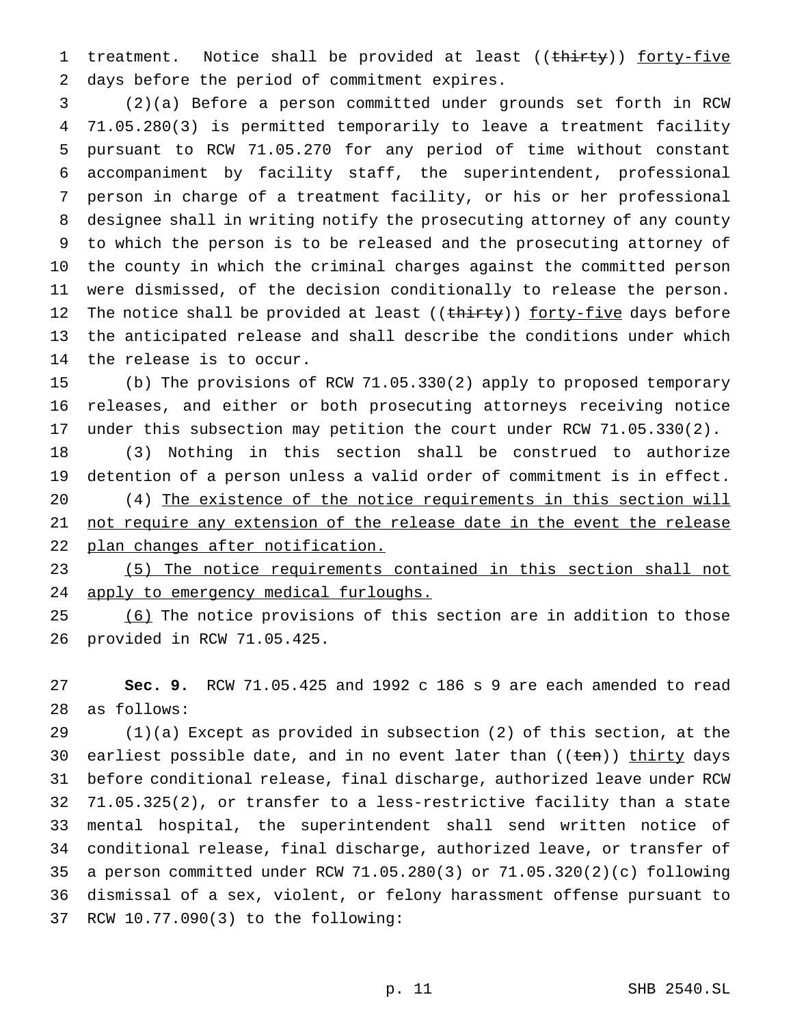1 treatment. Notice shall be provided at least ((thirty)) forty-five days before the period of commitment expires.

 (2)(a) Before a person committed under grounds set forth in RCW 71.05.280(3) is permitted temporarily to leave a treatment facility pursuant to RCW 71.05.270 for any period of time without constant accompaniment by facility staff, the superintendent, professional person in charge of a treatment facility, or his or her professional designee shall in writing notify the prosecuting attorney of any county to which the person is to be released and the prosecuting attorney of the county in which the criminal charges against the committed person were dismissed, of the decision conditionally to release the person. 12 The notice shall be provided at least ((thirty)) forty-five days before the anticipated release and shall describe the conditions under which the release is to occur.

 (b) The provisions of RCW 71.05.330(2) apply to proposed temporary releases, and either or both prosecuting attorneys receiving notice under this subsection may petition the court under RCW 71.05.330(2).

 (3) Nothing in this section shall be construed to authorize detention of a person unless a valid order of commitment is in effect.

 (4) The existence of the notice requirements in this section will not require any extension of the release date in the event the release plan changes after notification.

 (5) The notice requirements contained in this section shall not apply to emergency medical furloughs.

25 (6) The notice provisions of this section are in addition to those provided in RCW 71.05.425.

 **Sec. 9.** RCW 71.05.425 and 1992 c 186 s 9 are each amended to read as follows:

 (1)(a) Except as provided in subsection (2) of this section, at the 30 earliest possible date, and in no event later than ((ten)) thirty days before conditional release, final discharge, authorized leave under RCW 71.05.325(2), or transfer to a less-restrictive facility than a state mental hospital, the superintendent shall send written notice of conditional release, final discharge, authorized leave, or transfer of a person committed under RCW 71.05.280(3) or 71.05.320(2)(c) following dismissal of a sex, violent, or felony harassment offense pursuant to RCW 10.77.090(3) to the following: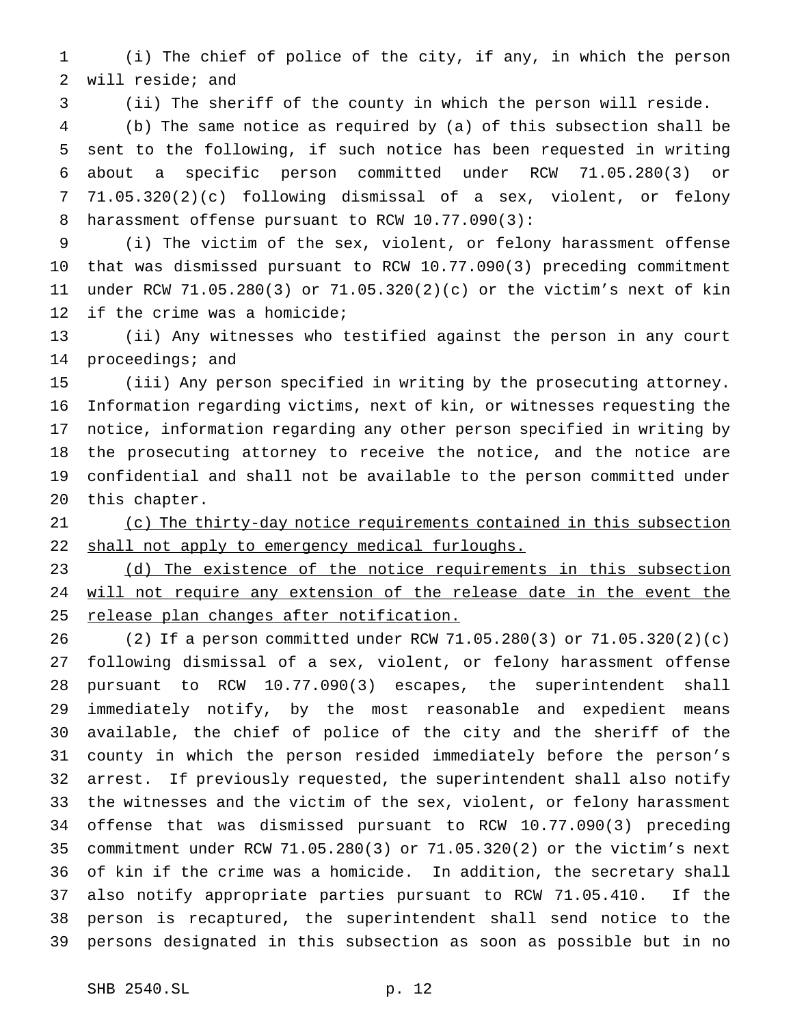(i) The chief of police of the city, if any, in which the person will reside; and

(ii) The sheriff of the county in which the person will reside.

 (b) The same notice as required by (a) of this subsection shall be sent to the following, if such notice has been requested in writing about a specific person committed under RCW 71.05.280(3) or 71.05.320(2)(c) following dismissal of a sex, violent, or felony harassment offense pursuant to RCW 10.77.090(3):

 (i) The victim of the sex, violent, or felony harassment offense that was dismissed pursuant to RCW 10.77.090(3) preceding commitment under RCW 71.05.280(3) or 71.05.320(2)(c) or the victim's next of kin if the crime was a homicide;

 (ii) Any witnesses who testified against the person in any court 14 proceedings; and

 (iii) Any person specified in writing by the prosecuting attorney. Information regarding victims, next of kin, or witnesses requesting the notice, information regarding any other person specified in writing by the prosecuting attorney to receive the notice, and the notice are confidential and shall not be available to the person committed under this chapter.

 (c) The thirty-day notice requirements contained in this subsection 22 shall not apply to emergency medical furloughs.

23 (d) The existence of the notice requirements in this subsection will not require any extension of the release date in the event the 25 release plan changes after notification.

 (2) If a person committed under RCW 71.05.280(3) or 71.05.320(2)(c) following dismissal of a sex, violent, or felony harassment offense pursuant to RCW 10.77.090(3) escapes, the superintendent shall immediately notify, by the most reasonable and expedient means available, the chief of police of the city and the sheriff of the county in which the person resided immediately before the person's arrest. If previously requested, the superintendent shall also notify the witnesses and the victim of the sex, violent, or felony harassment offense that was dismissed pursuant to RCW 10.77.090(3) preceding commitment under RCW 71.05.280(3) or 71.05.320(2) or the victim's next of kin if the crime was a homicide. In addition, the secretary shall also notify appropriate parties pursuant to RCW 71.05.410. If the person is recaptured, the superintendent shall send notice to the persons designated in this subsection as soon as possible but in no